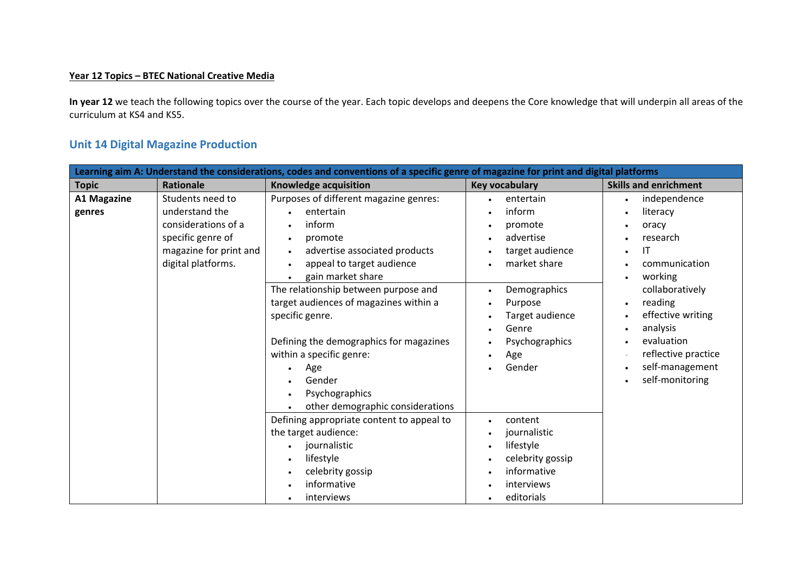## **Year 12 Topics – BTEC National Creative Media**

**In year 12** we teach the following topics over the course of the year. Each topic develops and deepens the Core knowledge that will underpin all areas of the curriculum at KS4 and KS5.

## **Unit 14 Digital Magazine Production**

| Learning aim A: Understand the considerations, codes and conventions of a specific genre of magazine for print and digital platforms |                                                                                                                                |                                                                                                                                                                                                                                                                                                                                                                                                                                                                                                                                                                                                                                                                                                                                                                                  |                                                                                                                                                                                                                           |                              |
|--------------------------------------------------------------------------------------------------------------------------------------|--------------------------------------------------------------------------------------------------------------------------------|----------------------------------------------------------------------------------------------------------------------------------------------------------------------------------------------------------------------------------------------------------------------------------------------------------------------------------------------------------------------------------------------------------------------------------------------------------------------------------------------------------------------------------------------------------------------------------------------------------------------------------------------------------------------------------------------------------------------------------------------------------------------------------|---------------------------------------------------------------------------------------------------------------------------------------------------------------------------------------------------------------------------|------------------------------|
| <b>Topic</b>                                                                                                                         | Rationale                                                                                                                      | <b>Knowledge acquisition</b>                                                                                                                                                                                                                                                                                                                                                                                                                                                                                                                                                                                                                                                                                                                                                     | <b>Key vocabulary</b>                                                                                                                                                                                                     | <b>Skills and enrichment</b> |
| <b>A1 Magazine</b><br>genres                                                                                                         | Students need to<br>understand the<br>considerations of a<br>specific genre of<br>magazine for print and<br>digital platforms. | Purposes of different magazine genres:<br>entertain<br>$\bullet$<br>$\bullet$<br>inform<br>entertain<br>$\bullet$<br>inform<br>promote<br>$\bullet$<br>advertise<br>promote<br>$\bullet$<br>$\bullet$<br>advertise associated products<br>target audience<br>$\bullet$<br>appeal to target audience<br>market share<br>$\bullet$<br>gain market share<br>The relationship between purpose and<br>Demographics<br>$\bullet$<br>target audiences of magazines within a<br>Purpose<br>$\bullet$<br>specific genre.<br>Target audience<br>Genre<br>$\bullet$<br>Defining the demographics for magazines<br>Psychographics<br>within a specific genre:<br>Age<br>$\bullet$<br>Gender<br>Age<br>$\bullet$<br>Gender<br>Psychographics<br>$\bullet$<br>other demographic considerations | independence<br>literacy<br>oracy<br>research<br>IT<br>communication<br>working<br>collaboratively<br>reading<br>effective writing<br>analysis<br>evaluation<br>reflective practice<br>self-management<br>self-monitoring |                              |
|                                                                                                                                      |                                                                                                                                | Defining appropriate content to appeal to<br>the target audience:<br>journalistic<br>$\bullet$<br>lifestyle<br>$\bullet$<br>celebrity gossip<br>$\bullet$<br>informative<br>interviews<br>$\bullet$                                                                                                                                                                                                                                                                                                                                                                                                                                                                                                                                                                              | content<br>$\bullet$<br>journalistic<br>lifestyle<br>$\bullet$<br>celebrity gossip<br>informative<br>interviews<br>editorials                                                                                             |                              |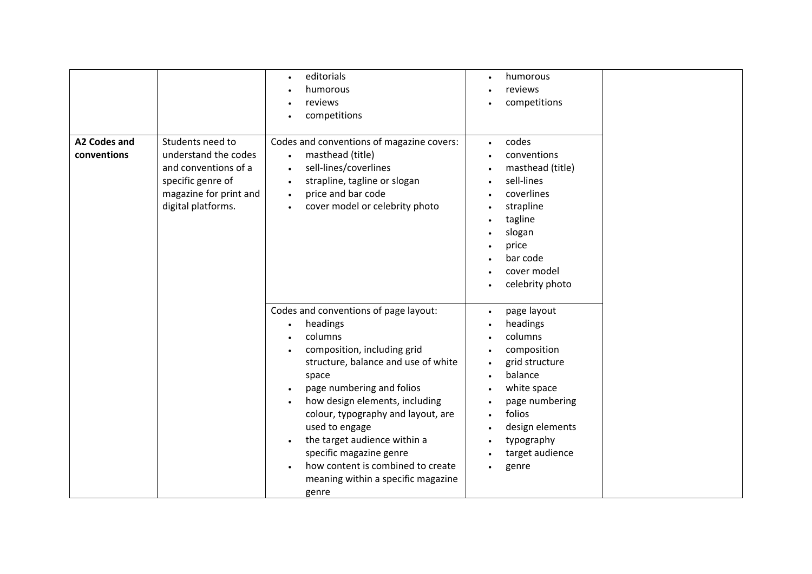| A2 Codes and<br>conventions | Students need to<br>understand the codes<br>and conventions of a<br>specific genre of<br>magazine for print and<br>digital platforms. | editorials<br>$\bullet$<br>humorous<br>reviews<br>competitions<br>Codes and conventions of magazine covers:<br>masthead (title)<br>$\bullet$<br>sell-lines/coverlines<br>$\bullet$<br>strapline, tagline or slogan<br>$\bullet$<br>price and bar code<br>$\bullet$<br>cover model or celebrity photo<br>$\bullet$                                                                                                                           | humorous<br>$\bullet$<br>reviews<br>competitions<br>codes<br>$\bullet$<br>conventions<br>masthead (title)<br>sell-lines<br>coverlines<br>strapline<br>$\bullet$<br>tagline<br>$\bullet$<br>slogan<br>price<br>bar code<br>cover model<br>celebrity photo             |  |
|-----------------------------|---------------------------------------------------------------------------------------------------------------------------------------|---------------------------------------------------------------------------------------------------------------------------------------------------------------------------------------------------------------------------------------------------------------------------------------------------------------------------------------------------------------------------------------------------------------------------------------------|----------------------------------------------------------------------------------------------------------------------------------------------------------------------------------------------------------------------------------------------------------------------|--|
|                             |                                                                                                                                       | Codes and conventions of page layout:<br>headings<br>columns<br>composition, including grid<br>structure, balance and use of white<br>space<br>page numbering and folios<br>how design elements, including<br>colour, typography and layout, are<br>used to engage<br>the target audience within a<br>$\bullet$<br>specific magazine genre<br>how content is combined to create<br>$\bullet$<br>meaning within a specific magazine<br>genre | page layout<br>$\bullet$<br>headings<br>columns<br>composition<br>grid structure<br>$\bullet$<br>balance<br>white space<br>page numbering<br>folios<br>$\bullet$<br>design elements<br>$\bullet$<br>typography<br>$\bullet$<br>target audience<br>genre<br>$\bullet$ |  |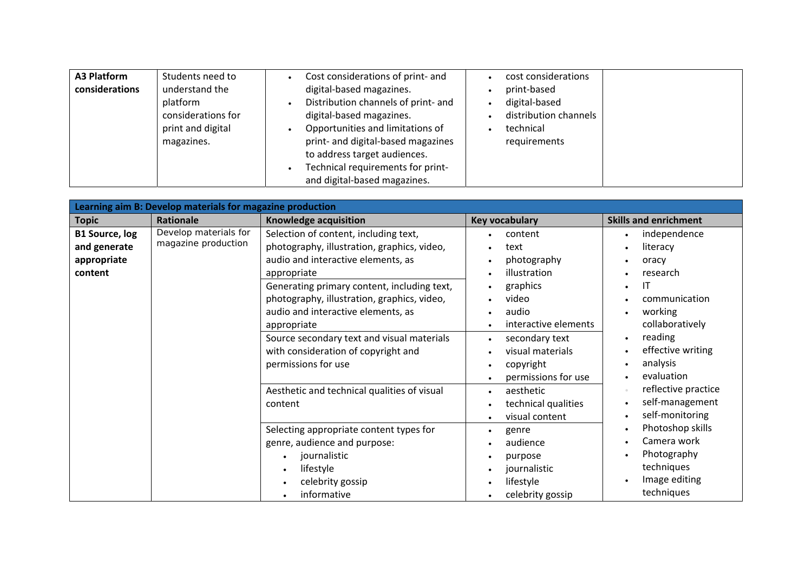| <b>A3 Platform</b> | Students need to   | Cost considerations of print- and<br>cost considerations |  |
|--------------------|--------------------|----------------------------------------------------------|--|
| considerations     | understand the     | digital-based magazines.<br>print-based                  |  |
|                    | platform           | Distribution channels of print- and<br>digital-based     |  |
|                    | considerations for | digital-based magazines.<br>distribution channels        |  |
|                    | print and digital  | Opportunities and limitations of<br>technical            |  |
|                    | magazines.         | print- and digital-based magazines<br>requirements       |  |
|                    |                    | to address target audiences.                             |  |
|                    |                    | Technical requirements for print-                        |  |
|                    |                    | and digital-based magazines.                             |  |

| Learning aim B: Develop materials for magazine production       |                                              |                                                                                                                                                                                                                                                                                                                                                                                                          |                                                                                                                                                                                                                          |                                                                                                                                                                        |
|-----------------------------------------------------------------|----------------------------------------------|----------------------------------------------------------------------------------------------------------------------------------------------------------------------------------------------------------------------------------------------------------------------------------------------------------------------------------------------------------------------------------------------------------|--------------------------------------------------------------------------------------------------------------------------------------------------------------------------------------------------------------------------|------------------------------------------------------------------------------------------------------------------------------------------------------------------------|
| <b>Topic</b>                                                    | Rationale                                    | Knowledge acquisition                                                                                                                                                                                                                                                                                                                                                                                    | <b>Key vocabulary</b>                                                                                                                                                                                                    | <b>Skills and enrichment</b>                                                                                                                                           |
| <b>B1 Source, log</b><br>and generate<br>appropriate<br>content | Develop materials for<br>magazine production | Selection of content, including text,<br>photography, illustration, graphics, video,<br>audio and interactive elements, as<br>appropriate<br>Generating primary content, including text,<br>photography, illustration, graphics, video,<br>audio and interactive elements, as<br>appropriate<br>Source secondary text and visual materials<br>with consideration of copyright and<br>permissions for use | content<br>text<br>photography<br>$\bullet$<br>illustration<br>$\bullet$<br>graphics<br>video<br>$\bullet$<br>audio<br>interactive elements<br>secondary text<br>$\bullet$<br>visual materials<br>copyright<br>$\bullet$ | independence<br>literacy<br>oracy<br>research<br>IT<br>communication<br>working<br>collaboratively<br>reading<br>effective writing<br>analysis                         |
|                                                                 |                                              | Aesthetic and technical qualities of visual<br>content<br>Selecting appropriate content types for<br>genre, audience and purpose:<br>journalistic<br>lifestyle<br>celebrity gossip<br>informative                                                                                                                                                                                                        | permissions for use<br>aesthetic<br>$\bullet$<br>technical qualities<br>visual content<br>genre<br>$\bullet$<br>audience<br>purpose<br>$\bullet$<br>journalistic<br>lifestyle<br>celebrity gossip                        | evaluation<br>reflective practice<br>self-management<br>self-monitoring<br>Photoshop skills<br>Camera work<br>Photography<br>techniques<br>Image editing<br>techniques |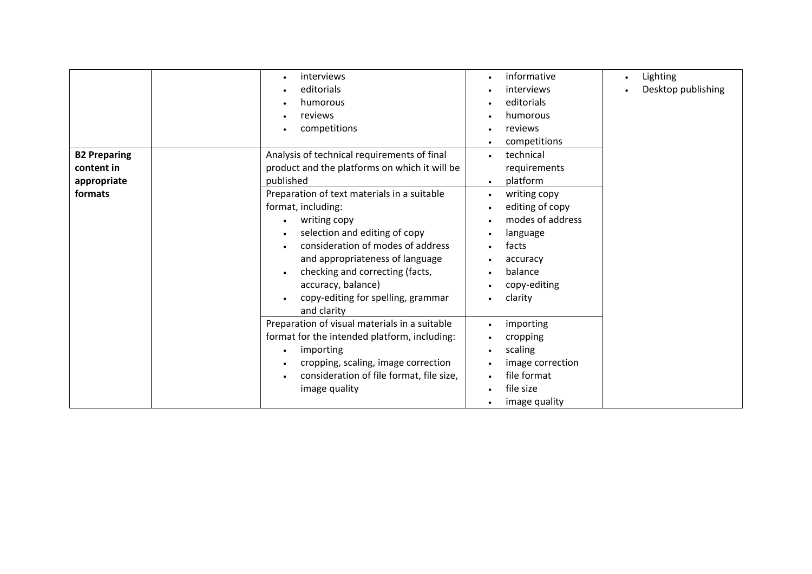|                                                             | interviews<br>editorials                                                                                                                                                                                                                                                                                                                                                                               | informative<br>$\bullet$<br>interviews<br>$\bullet$                                                                                                                                                                                                                                                   | Lighting<br>$\bullet$<br>Desktop publishing |
|-------------------------------------------------------------|--------------------------------------------------------------------------------------------------------------------------------------------------------------------------------------------------------------------------------------------------------------------------------------------------------------------------------------------------------------------------------------------------------|-------------------------------------------------------------------------------------------------------------------------------------------------------------------------------------------------------------------------------------------------------------------------------------------------------|---------------------------------------------|
|                                                             | humorous<br>reviews<br>competitions                                                                                                                                                                                                                                                                                                                                                                    | editorials<br>$\bullet$<br>humorous<br>$\bullet$<br>reviews<br>$\bullet$<br>competitions<br>$\bullet$                                                                                                                                                                                                 |                                             |
| <b>B2 Preparing</b><br>content in<br>appropriate<br>formats | Analysis of technical requirements of final<br>product and the platforms on which it will be<br>published<br>Preparation of text materials in a suitable<br>format, including:<br>writing copy<br>selection and editing of copy<br>consideration of modes of address<br>and appropriateness of language<br>checking and correcting (facts,<br>accuracy, balance)<br>copy-editing for spelling, grammar | technical<br>$\bullet$<br>requirements<br>platform<br>$\bullet$<br>writing copy<br>$\bullet$<br>editing of copy<br>$\bullet$<br>modes of address<br>$\bullet$<br>language<br>$\bullet$<br>facts<br>accuracy<br>$\bullet$<br>balance<br>$\bullet$<br>copy-editing<br>$\bullet$<br>clarity<br>$\bullet$ |                                             |
|                                                             | and clarity<br>Preparation of visual materials in a suitable<br>format for the intended platform, including:<br>importing<br>cropping, scaling, image correction<br>consideration of file format, file size,<br>image quality                                                                                                                                                                          | importing<br>$\bullet$<br>cropping<br>scaling<br>$\bullet$<br>image correction<br>file format<br>file size<br>$\bullet$<br>image quality<br>$\bullet$                                                                                                                                                 |                                             |